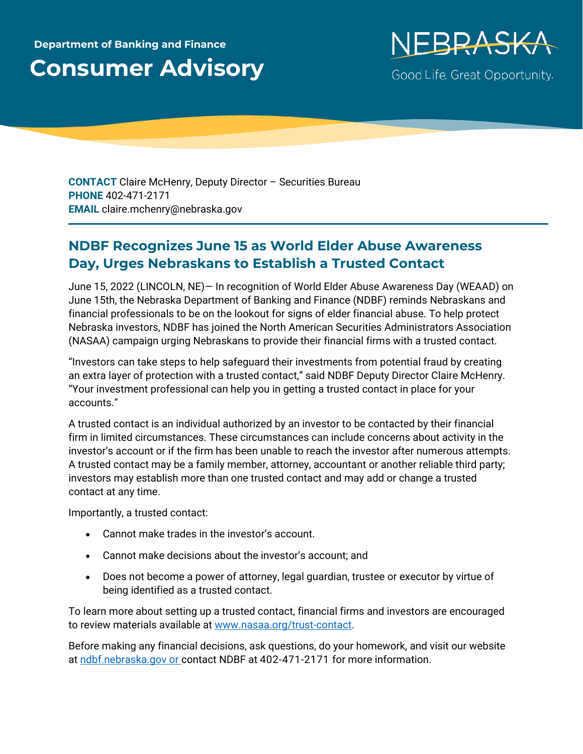## **Department of Banking and Finance Consumer Advisory**



**CONTACT** Claire McHenry, Deputy Director – Securities Bureau **PHONE** 402-471-2171 **EMAIL** claire.mchenry@nebraska.gov

## **NDBF Recognizes June 15 as World Elder Abuse Awareness Day, Urges Nebraskans to Establish a Trusted Contact**

June 15, 2022 (LINCOLN, NE)— In recognition of World Elder Abuse Awareness Day (WEAAD) on June 15th, the Nebraska Department of Banking and Finance (NDBF) reminds Nebraskans and financial professionals to be on the lookout for signs of elder financial abuse. To help protect Nebraska investors, NDBF has joined the North American Securities Administrators Association (NASAA) campaign urging Nebraskans to provide their financial firms with a trusted contact.

"Investors can take steps to help safeguard their investments from potential fraud by creating an extra layer of protection with a trusted contact," said NDBF Deputy Director Claire McHenry. "Your investment professional can help you in getting a trusted contact in place for your accounts."

A trusted contact is an individual authorized by an investor to be contacted by their financial firm in limited circumstances. These circumstances can include concerns about activity in the investor's account or if the firm has been unable to reach the investor after numerous attempts. A trusted contact may be a family member, attorney, accountant or another reliable third party; investors may establish more than one trusted contact and may add or change a trusted contact at any time.

Importantly, a trusted contact:

- Cannot make trades in the investor's account.
- Cannot make decisions about the investor's account; and
- Does not become a power of attorney, legal guardian, trustee or executor by virtue of being identified as a trusted contact.

To learn more about setting up a trusted contact, financial firms and investors are encouraged to review materials available at [www.nasaa.org/trust-contact.](http://www.nasaa.org/trust-contact)

Before making any financial decisions, ask questions, do your homework, and visit our website at [ndbf.nebraska.gov](https://ndbf.nebraska.gov/) or contact NDBF at 402-471-2171 for more information.